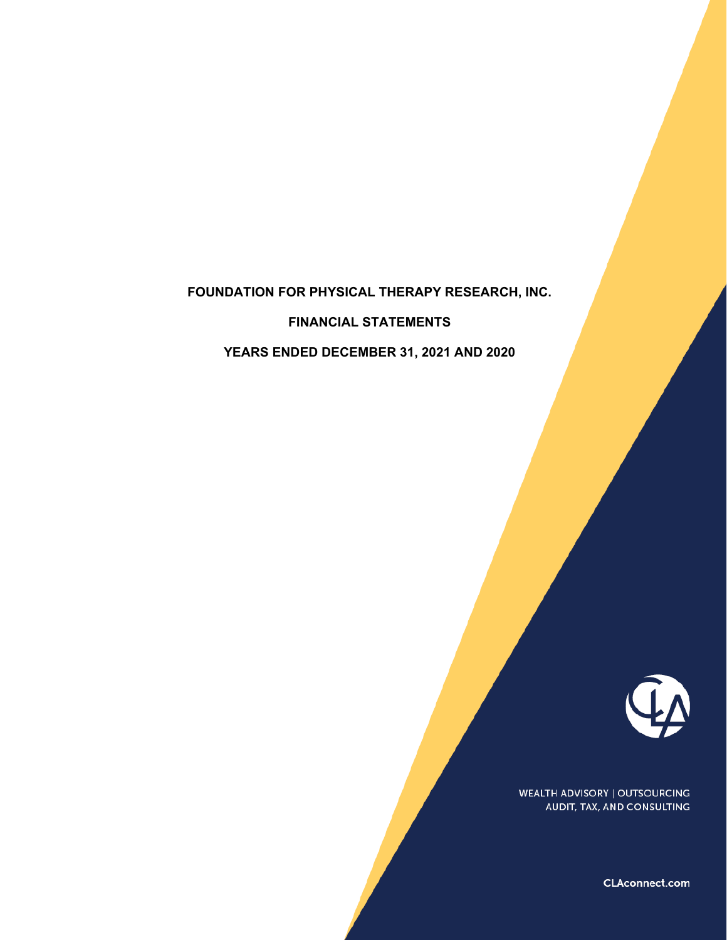# **FOUNDATION FOR PHYSICAL THERAPY RESEARCH, INC.**

**FINANCIAL STATEMENTS** 

**YEARS ENDED DECEMBER 31, 2021 AND 2020** 



WEALTH ADVISORY | OUTSOURCING AUDIT, TAX, AND CONSULTING

CLAconnect.com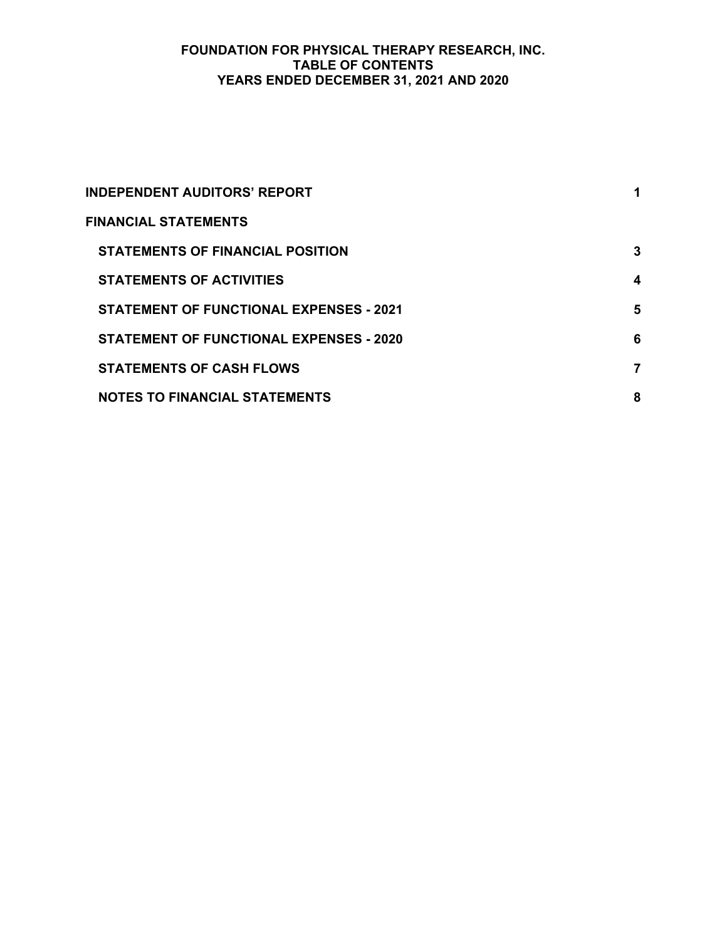## **FOUNDATION FOR PHYSICAL THERAPY RESEARCH, INC. TABLE OF CONTENTS YEARS ENDED DECEMBER 31, 2021 AND 2020**

| INDEPENDENT AUDITORS' REPORT                   |   |
|------------------------------------------------|---|
| <b>FINANCIAL STATEMENTS</b>                    |   |
| <b>STATEMENTS OF FINANCIAL POSITION</b>        | 3 |
| <b>STATEMENTS OF ACTIVITIES</b>                | 4 |
| <b>STATEMENT OF FUNCTIONAL EXPENSES - 2021</b> | 5 |
| <b>STATEMENT OF FUNCTIONAL EXPENSES - 2020</b> | 6 |
| <b>STATEMENTS OF CASH FLOWS</b>                | 7 |
| <b>NOTES TO FINANCIAL STATEMENTS</b>           | 8 |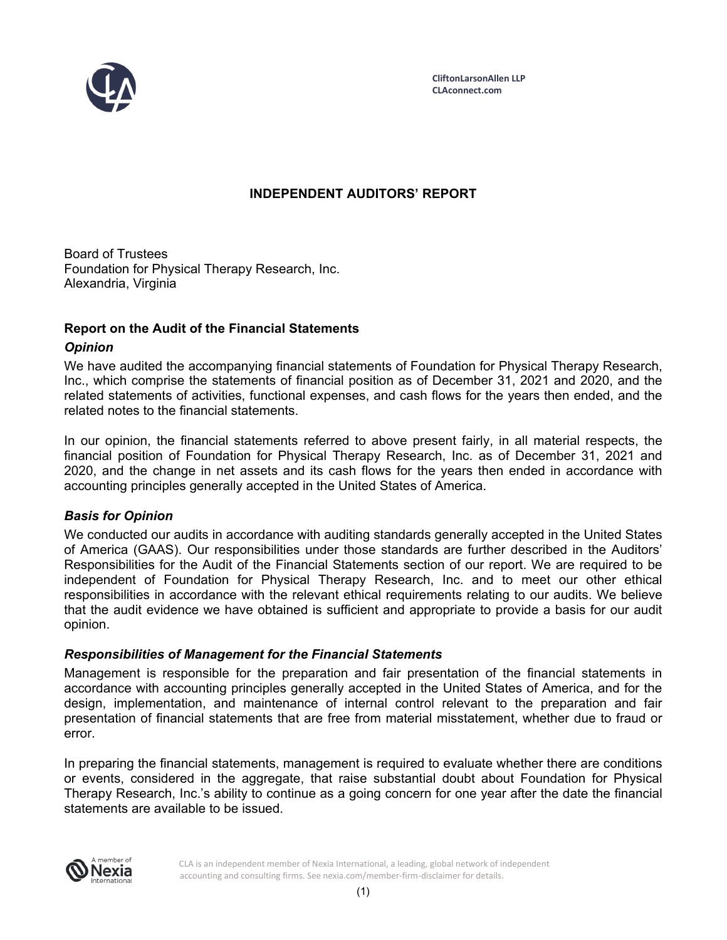

# **INDEPENDENT AUDITORS' REPORT**

Board of Trustees Foundation for Physical Therapy Research, Inc. Alexandria, Virginia

# **Report on the Audit of the Financial Statements**

### *Opinion*

We have audited the accompanying financial statements of Foundation for Physical Therapy Research, Inc., which comprise the statements of financial position as of December 31, 2021 and 2020, and the related statements of activities, functional expenses, and cash flows for the years then ended, and the related notes to the financial statements.

In our opinion, the financial statements referred to above present fairly, in all material respects, the financial position of Foundation for Physical Therapy Research, Inc. as of December 31, 2021 and 2020, and the change in net assets and its cash flows for the years then ended in accordance with accounting principles generally accepted in the United States of America.

# *Basis for Opinion*

We conducted our audits in accordance with auditing standards generally accepted in the United States of America (GAAS). Our responsibilities under those standards are further described in the Auditors' Responsibilities for the Audit of the Financial Statements section of our report. We are required to be independent of Foundation for Physical Therapy Research, Inc. and to meet our other ethical responsibilities in accordance with the relevant ethical requirements relating to our audits. We believe that the audit evidence we have obtained is sufficient and appropriate to provide a basis for our audit opinion.

# *Responsibilities of Management for the Financial Statements*

Management is responsible for the preparation and fair presentation of the financial statements in accordance with accounting principles generally accepted in the United States of America, and for the design, implementation, and maintenance of internal control relevant to the preparation and fair presentation of financial statements that are free from material misstatement, whether due to fraud or error.

In preparing the financial statements, management is required to evaluate whether there are conditions or events, considered in the aggregate, that raise substantial doubt about Foundation for Physical Therapy Research, Inc.'s ability to continue as a going concern for one year after the date the financial statements are available to be issued.



CLA is an independent member of Nexia International, a leading, global network of independent accounting and consulting firms. See nexia.com/member-firm-disclaimer for details.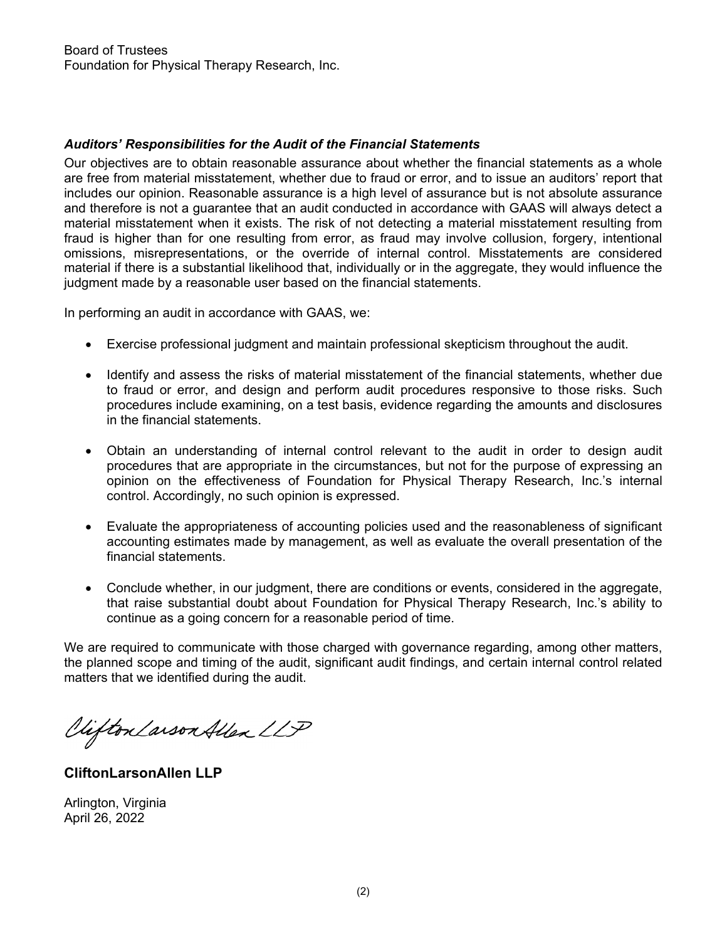# *Auditors' Responsibilities for the Audit of the Financial Statements*

Our objectives are to obtain reasonable assurance about whether the financial statements as a whole are free from material misstatement, whether due to fraud or error, and to issue an auditors' report that includes our opinion. Reasonable assurance is a high level of assurance but is not absolute assurance and therefore is not a guarantee that an audit conducted in accordance with GAAS will always detect a material misstatement when it exists. The risk of not detecting a material misstatement resulting from fraud is higher than for one resulting from error, as fraud may involve collusion, forgery, intentional omissions, misrepresentations, or the override of internal control. Misstatements are considered material if there is a substantial likelihood that, individually or in the aggregate, they would influence the judgment made by a reasonable user based on the financial statements.

In performing an audit in accordance with GAAS, we:

- Exercise professional judgment and maintain professional skepticism throughout the audit.
- Identify and assess the risks of material misstatement of the financial statements, whether due to fraud or error, and design and perform audit procedures responsive to those risks. Such procedures include examining, on a test basis, evidence regarding the amounts and disclosures in the financial statements.
- Obtain an understanding of internal control relevant to the audit in order to design audit procedures that are appropriate in the circumstances, but not for the purpose of expressing an opinion on the effectiveness of Foundation for Physical Therapy Research, Inc.'s internal control. Accordingly, no such opinion is expressed.
- Evaluate the appropriateness of accounting policies used and the reasonableness of significant accounting estimates made by management, as well as evaluate the overall presentation of the financial statements.
- Conclude whether, in our judgment, there are conditions or events, considered in the aggregate, that raise substantial doubt about Foundation for Physical Therapy Research, Inc.'s ability to continue as a going concern for a reasonable period of time.

We are required to communicate with those charged with governance regarding, among other matters, the planned scope and timing of the audit, significant audit findings, and certain internal control related matters that we identified during the audit.

Viifton Larson Allen LLP

**CliftonLarsonAllen LLP** 

Arlington, Virginia April 26, 2022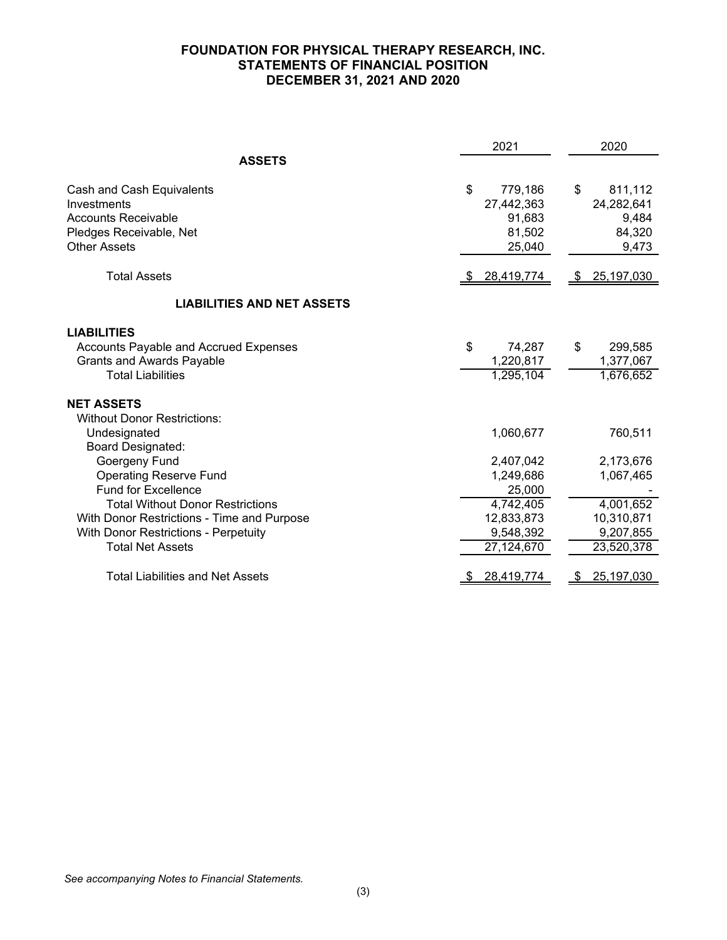## **FOUNDATION FOR PHYSICAL THERAPY RESEARCH, INC. STATEMENTS OF FINANCIAL POSITION DECEMBER 31, 2021 AND 2020**

|                                                                                                                          | 2021                                                      |    | 2020                                              |
|--------------------------------------------------------------------------------------------------------------------------|-----------------------------------------------------------|----|---------------------------------------------------|
| <b>ASSETS</b>                                                                                                            |                                                           |    |                                                   |
| Cash and Cash Equivalents<br>Investments<br><b>Accounts Receivable</b><br>Pledges Receivable, Net<br><b>Other Assets</b> | \$<br>779,186<br>27,442,363<br>91,683<br>81,502<br>25,040 | \$ | 811,112<br>24,282,641<br>9,484<br>84,320<br>9,473 |
| <b>Total Assets</b>                                                                                                      | 28,419,774                                                | S. | 25,197,030                                        |
| <b>LIABILITIES AND NET ASSETS</b>                                                                                        |                                                           |    |                                                   |
| <b>LIABILITIES</b>                                                                                                       |                                                           |    |                                                   |
| Accounts Payable and Accrued Expenses                                                                                    | \$<br>74,287                                              | \$ | 299,585                                           |
| <b>Grants and Awards Payable</b>                                                                                         | 1,220,817                                                 |    | 1,377,067                                         |
| <b>Total Liabilities</b>                                                                                                 | 1,295,104                                                 |    | 1,676,652                                         |
| <b>NET ASSETS</b>                                                                                                        |                                                           |    |                                                   |
| <b>Without Donor Restrictions:</b>                                                                                       |                                                           |    |                                                   |
| Undesignated                                                                                                             | 1,060,677                                                 |    | 760,511                                           |
| <b>Board Designated:</b>                                                                                                 |                                                           |    |                                                   |
| Goergeny Fund                                                                                                            | 2,407,042                                                 |    | 2,173,676                                         |
| <b>Operating Reserve Fund</b>                                                                                            | 1,249,686                                                 |    | 1,067,465                                         |
| <b>Fund for Excellence</b>                                                                                               | 25,000                                                    |    |                                                   |
| <b>Total Without Donor Restrictions</b>                                                                                  | 4,742,405                                                 |    | 4,001,652                                         |
| With Donor Restrictions - Time and Purpose                                                                               | 12,833,873                                                |    | 10,310,871                                        |
| With Donor Restrictions - Perpetuity                                                                                     | 9,548,392                                                 |    | 9,207,855                                         |
| <b>Total Net Assets</b>                                                                                                  | 27,124,670                                                |    | 23,520,378                                        |
| <b>Total Liabilities and Net Assets</b>                                                                                  | 28,419,774                                                | æ. | 25,197,030                                        |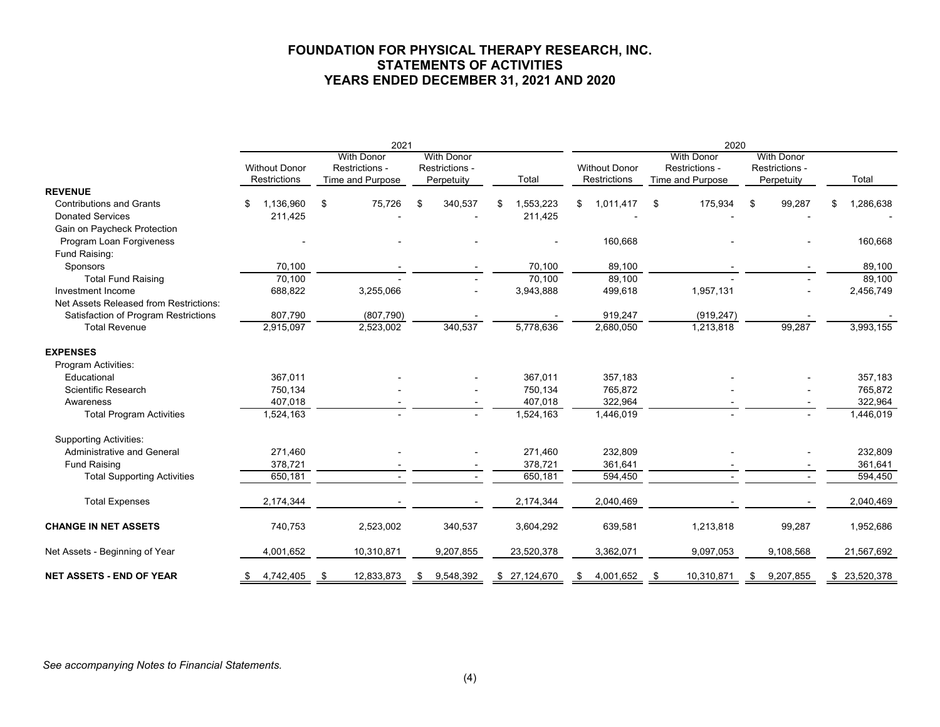#### **FOUNDATION FOR PHYSICAL THERAPY RESEARCH, INC. STATEMENTS OF ACTIVITIES YEARS ENDED DECEMBER 31, 2021 AND 2020**

|                                        |                                      | 2021                                                    |                                                   |                  | 2020                                 |                                                         |                                                   |                 |  |
|----------------------------------------|--------------------------------------|---------------------------------------------------------|---------------------------------------------------|------------------|--------------------------------------|---------------------------------------------------------|---------------------------------------------------|-----------------|--|
|                                        | <b>Without Donor</b><br>Restrictions | <b>With Donor</b><br>Restrictions -<br>Time and Purpose | <b>With Donor</b><br>Restrictions -<br>Perpetuity | Total            | <b>Without Donor</b><br>Restrictions | <b>With Donor</b><br>Restrictions -<br>Time and Purpose | <b>With Donor</b><br>Restrictions -<br>Perpetuity | Total           |  |
| <b>REVENUE</b>                         |                                      |                                                         |                                                   |                  |                                      |                                                         |                                                   |                 |  |
| <b>Contributions and Grants</b>        | 1,136,960<br>\$.                     | \$<br>75,726                                            | 340,537<br>\$                                     | 1,553,223<br>\$. | \$<br>1,011,417                      | 175,934<br>\$                                           | 99,287<br>\$                                      | \$<br>1,286,638 |  |
| <b>Donated Services</b>                | 211,425                              |                                                         |                                                   | 211,425          |                                      |                                                         |                                                   |                 |  |
| Gain on Paycheck Protection            |                                      |                                                         |                                                   |                  |                                      |                                                         |                                                   |                 |  |
| Program Loan Forgiveness               |                                      |                                                         |                                                   |                  | 160,668                              |                                                         |                                                   | 160,668         |  |
| Fund Raising:                          |                                      |                                                         |                                                   |                  |                                      |                                                         |                                                   |                 |  |
| Sponsors                               | 70,100                               |                                                         |                                                   | 70,100           | 89,100                               |                                                         |                                                   | 89,100          |  |
| <b>Total Fund Raising</b>              | 70,100                               |                                                         |                                                   | 70,100           | 89,100                               |                                                         |                                                   | 89,100          |  |
| Investment Income                      | 688,822                              | 3,255,066                                               |                                                   | 3,943,888        | 499,618                              | 1,957,131                                               |                                                   | 2,456,749       |  |
| Net Assets Released from Restrictions: |                                      |                                                         |                                                   |                  |                                      |                                                         |                                                   |                 |  |
| Satisfaction of Program Restrictions   | 807,790                              | (807, 790)                                              |                                                   |                  | 919,247                              | (919, 247)                                              |                                                   |                 |  |
| <b>Total Revenue</b>                   | 2,915,097                            | 2,523,002                                               | 340,537                                           | 5,778,636        | 2,680,050                            | 1,213,818                                               | 99,287                                            | 3,993,155       |  |
| <b>EXPENSES</b>                        |                                      |                                                         |                                                   |                  |                                      |                                                         |                                                   |                 |  |
| Program Activities:                    |                                      |                                                         |                                                   |                  |                                      |                                                         |                                                   |                 |  |
| Educational                            | 367,011                              |                                                         |                                                   | 367,011          | 357,183                              |                                                         |                                                   | 357,183         |  |
| Scientific Research                    | 750,134                              |                                                         |                                                   | 750,134          | 765,872                              |                                                         |                                                   | 765,872         |  |
| Awareness                              | 407,018                              |                                                         |                                                   | 407,018          | 322,964                              |                                                         |                                                   | 322,964         |  |
| <b>Total Program Activities</b>        | 1,524,163                            |                                                         |                                                   | 1,524,163        | 1,446,019                            |                                                         |                                                   | 1,446,019       |  |
| <b>Supporting Activities:</b>          |                                      |                                                         |                                                   |                  |                                      |                                                         |                                                   |                 |  |
| <b>Administrative and General</b>      | 271,460                              |                                                         |                                                   | 271,460          | 232,809                              |                                                         |                                                   | 232,809         |  |
| <b>Fund Raising</b>                    | 378,721                              |                                                         |                                                   | 378,721          | 361,641                              |                                                         |                                                   | 361,641         |  |
| <b>Total Supporting Activities</b>     | 650,181                              |                                                         |                                                   | 650,181          | 594,450                              |                                                         |                                                   | 594,450         |  |
| <b>Total Expenses</b>                  | 2,174,344                            |                                                         |                                                   | 2,174,344        | 2,040,469                            |                                                         |                                                   | 2,040,469       |  |
| <b>CHANGE IN NET ASSETS</b>            | 740,753                              | 2,523,002                                               | 340,537                                           | 3,604,292        | 639,581                              | 1,213,818                                               | 99,287                                            | 1,952,686       |  |
| Net Assets - Beginning of Year         | 4,001,652                            | 10,310,871                                              | 9,207,855                                         | 23,520,378       | 3,362,071                            | 9,097,053                                               | 9,108,568                                         | 21,567,692      |  |
| <b>NET ASSETS - END OF YEAR</b>        | 4,742,405<br>- \$                    | 12,833,873<br>- 35                                      | 9,548,392<br>-S                                   | \$ 27,124,670    | 4,001,652<br>- \$                    | 10,310,871                                              | 9,207,855<br>- 56                                 | \$23,520,378    |  |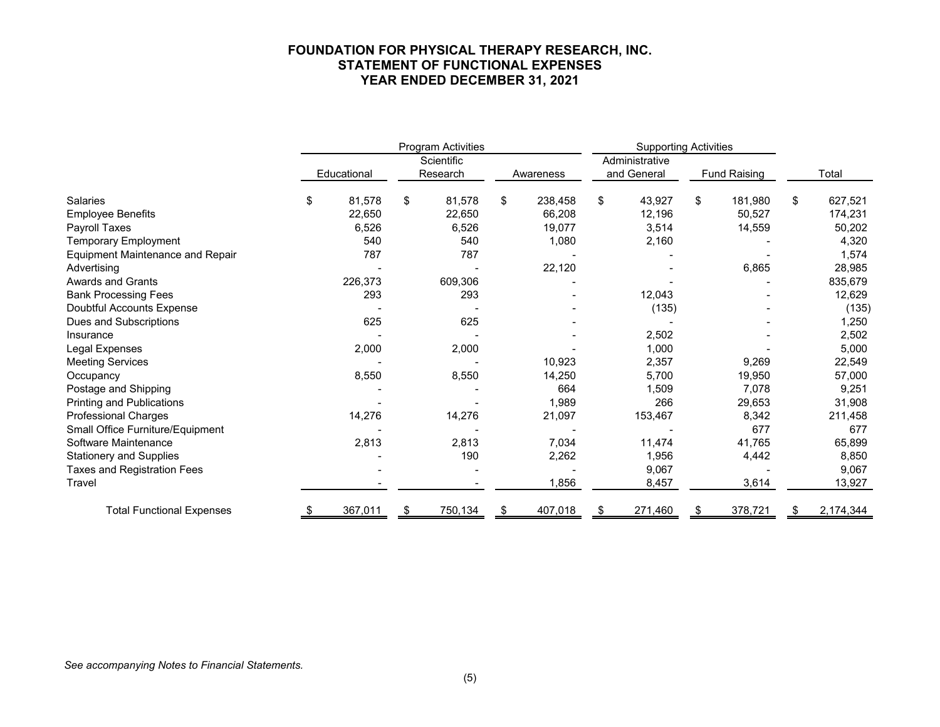#### **FOUNDATION FOR PHYSICAL THERAPY RESEARCH, INC. STATEMENT OF FUNCTIONAL EXPENSES YEAR ENDED DECEMBER 31, 2021**

|                                         |              | Program Activities |               | <b>Supporting Activities</b> |                |    |                     |    |           |
|-----------------------------------------|--------------|--------------------|---------------|------------------------------|----------------|----|---------------------|----|-----------|
|                                         |              | Scientific         |               |                              | Administrative |    |                     |    |           |
|                                         | Educational  | Research           | Awareness     |                              | and General    |    | <b>Fund Raising</b> |    | Total     |
| <b>Salaries</b>                         | \$<br>81,578 | \$<br>81,578       | \$<br>238,458 | \$                           | 43,927         | \$ | 181,980             | \$ | 627,521   |
| <b>Employee Benefits</b>                | 22,650       | 22,650             | 66,208        |                              | 12,196         |    | 50,527              |    | 174,231   |
| Payroll Taxes                           | 6,526        | 6,526              | 19,077        |                              | 3,514          |    | 14,559              |    | 50,202    |
| <b>Temporary Employment</b>             | 540          | 540                | 1,080         |                              | 2,160          |    |                     |    | 4,320     |
| <b>Equipment Maintenance and Repair</b> | 787          | 787                |               |                              |                |    |                     |    | 1,574     |
| Advertising                             |              |                    | 22,120        |                              |                |    | 6,865               |    | 28,985    |
| <b>Awards and Grants</b>                | 226,373      | 609,306            |               |                              |                |    |                     |    | 835,679   |
| <b>Bank Processing Fees</b>             | 293          | 293                |               |                              | 12,043         |    |                     |    | 12,629    |
| Doubtful Accounts Expense               |              |                    |               |                              | (135)          |    |                     |    | (135)     |
| Dues and Subscriptions                  | 625          | 625                |               |                              |                |    |                     |    | 1,250     |
| Insurance                               |              |                    |               |                              | 2,502          |    |                     |    | 2,502     |
| Legal Expenses                          | 2,000        | 2,000              |               |                              | 1,000          |    |                     |    | 5,000     |
| <b>Meeting Services</b>                 |              |                    | 10,923        |                              | 2,357          |    | 9,269               |    | 22,549    |
| Occupancy                               | 8,550        | 8,550              | 14,250        |                              | 5,700          |    | 19,950              |    | 57,000    |
| Postage and Shipping                    |              |                    | 664           |                              | 1,509          |    | 7,078               |    | 9,251     |
| Printing and Publications               |              |                    | 1,989         |                              | 266            |    | 29,653              |    | 31,908    |
| <b>Professional Charges</b>             | 14,276       | 14,276             | 21,097        |                              | 153,467        |    | 8,342               |    | 211,458   |
| Small Office Furniture/Equipment        |              |                    |               |                              |                |    | 677                 |    | 677       |
| Software Maintenance                    | 2,813        | 2,813              | 7,034         |                              | 11,474         |    | 41,765              |    | 65,899    |
| <b>Stationery and Supplies</b>          |              | 190                | 2,262         |                              | 1,956          |    | 4,442               |    | 8,850     |
| <b>Taxes and Registration Fees</b>      |              |                    |               |                              | 9,067          |    |                     |    | 9,067     |
| Travel                                  |              |                    | 1,856         |                              | 8,457          |    | 3,614               |    | 13,927    |
| <b>Total Functional Expenses</b>        | 367,011      | 750,134            | 407,018       |                              | 271,460        |    | 378,721             | \$ | 2,174,344 |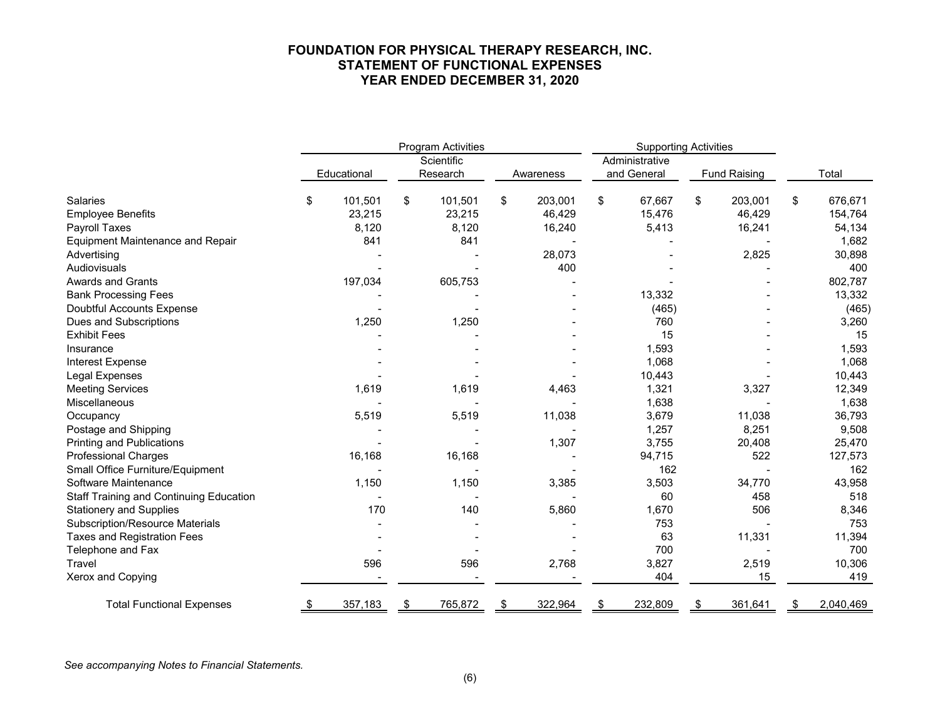#### **FOUNDATION FOR PHYSICAL THERAPY RESEARCH, INC. STATEMENT OF FUNCTIONAL EXPENSES YEAR ENDED DECEMBER 31, 2020**

|                                                | <b>Program Activities</b> |               | <b>Supporting Activities</b> |                |                     |                 |
|------------------------------------------------|---------------------------|---------------|------------------------------|----------------|---------------------|-----------------|
|                                                |                           | Scientific    |                              | Administrative |                     |                 |
|                                                | Educational               | Research      | Awareness                    | and General    | <b>Fund Raising</b> | Total           |
| Salaries                                       | 101,501<br>\$             | \$<br>101,501 | 203,001<br>\$                | \$<br>67,667   | \$<br>203,001       | \$<br>676,671   |
| <b>Employee Benefits</b>                       | 23,215                    | 23,215        | 46,429                       | 15,476         | 46,429              | 154,764         |
| Payroll Taxes                                  | 8,120                     | 8,120         | 16,240                       | 5,413          | 16,241              | 54,134          |
| <b>Equipment Maintenance and Repair</b>        | 841                       | 841           |                              |                |                     | 1,682           |
| Advertising                                    |                           |               | 28,073                       |                | 2,825               | 30,898          |
| Audiovisuals                                   |                           |               | 400                          |                |                     | 400             |
| <b>Awards and Grants</b>                       | 197,034                   | 605,753       |                              |                |                     | 802,787         |
| <b>Bank Processing Fees</b>                    |                           |               |                              | 13,332         |                     | 13,332          |
| Doubtful Accounts Expense                      |                           |               |                              | (465)          |                     | (465)           |
| Dues and Subscriptions                         | 1,250                     | 1,250         |                              | 760            |                     | 3,260           |
| <b>Exhibit Fees</b>                            |                           |               |                              | 15             |                     | 15              |
| Insurance                                      |                           |               |                              | 1,593          |                     | 1,593           |
| <b>Interest Expense</b>                        |                           |               |                              | 1,068          |                     | 1,068           |
| Legal Expenses                                 |                           |               |                              | 10,443         |                     | 10,443          |
| <b>Meeting Services</b>                        | 1,619                     | 1,619         | 4,463                        | 1,321          | 3,327               | 12,349          |
| Miscellaneous                                  |                           |               |                              | 1,638          |                     | 1,638           |
| Occupancy                                      | 5,519                     | 5,519         | 11,038                       | 3,679          | 11,038              | 36,793          |
| Postage and Shipping                           |                           |               |                              | 1,257          | 8,251               | 9,508           |
| Printing and Publications                      |                           |               | 1,307                        | 3,755          | 20,408              | 25,470          |
| <b>Professional Charges</b>                    | 16,168                    | 16,168        |                              | 94,715         | 522                 | 127,573         |
| Small Office Furniture/Equipment               |                           |               |                              | 162            |                     | 162             |
| Software Maintenance                           | 1,150                     | 1,150         | 3,385                        | 3,503          | 34,770              | 43,958          |
| <b>Staff Training and Continuing Education</b> |                           |               |                              | 60             | 458                 | 518             |
| <b>Stationery and Supplies</b>                 | 170                       | 140           | 5,860                        | 1,670          | 506                 | 8,346           |
| <b>Subscription/Resource Materials</b>         |                           |               |                              | 753            |                     | 753             |
| <b>Taxes and Registration Fees</b>             |                           |               |                              | 63             | 11,331              | 11,394          |
| Telephone and Fax                              |                           |               |                              | 700            |                     | 700             |
| Travel                                         | 596                       | 596           | 2,768                        | 3,827          | 2,519               | 10,306          |
| Xerox and Copying                              |                           |               |                              | 404            | 15                  | 419             |
| <b>Total Functional Expenses</b>               | 357,183<br>\$             | 765,872<br>\$ | 322,964<br>\$                | 232,809<br>\$  | 361,641<br>\$       | 2,040,469<br>\$ |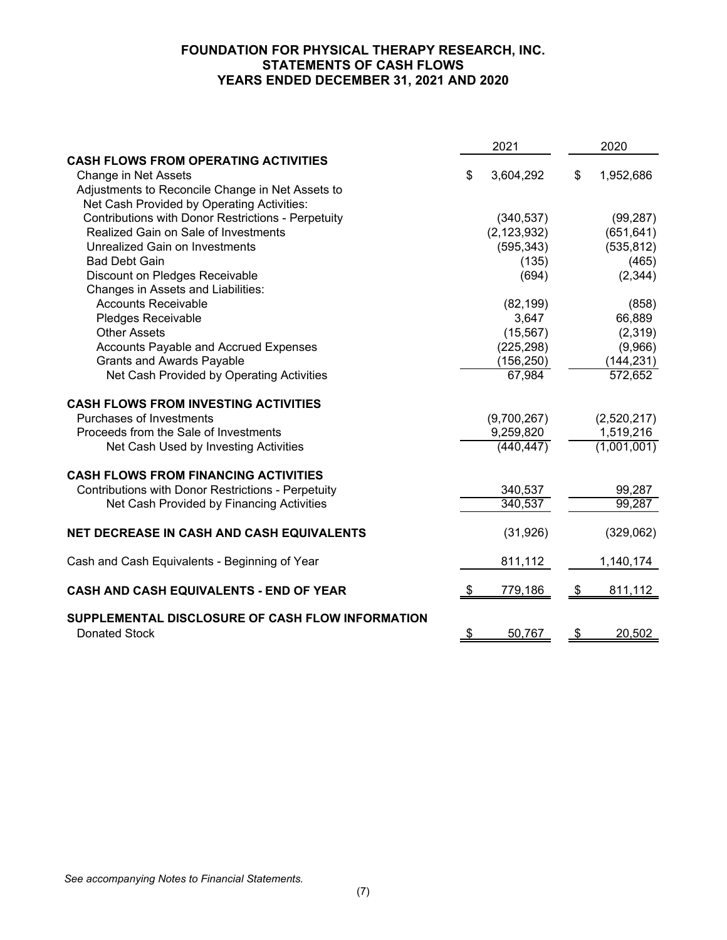## **FOUNDATION FOR PHYSICAL THERAPY RESEARCH, INC. STATEMENTS OF CASH FLOWS YEARS ENDED DECEMBER 31, 2021 AND 2020**

|                                                                          |    | 2021          | 2020 |             |  |
|--------------------------------------------------------------------------|----|---------------|------|-------------|--|
| <b>CASH FLOWS FROM OPERATING ACTIVITIES</b>                              |    |               |      |             |  |
| Change in Net Assets                                                     | \$ | 3,604,292     | \$   | 1,952,686   |  |
| Adjustments to Reconcile Change in Net Assets to                         |    |               |      |             |  |
| Net Cash Provided by Operating Activities:                               |    |               |      |             |  |
| Contributions with Donor Restrictions - Perpetuity                       |    | (340, 537)    |      | (99, 287)   |  |
| Realized Gain on Sale of Investments                                     |    | (2, 123, 932) |      | (651, 641)  |  |
| <b>Unrealized Gain on Investments</b>                                    |    | (595, 343)    |      | (535, 812)  |  |
| <b>Bad Debt Gain</b>                                                     |    | (135)         |      | (465)       |  |
| Discount on Pledges Receivable                                           |    | (694)         |      | (2, 344)    |  |
| Changes in Assets and Liabilities:                                       |    |               |      |             |  |
| <b>Accounts Receivable</b>                                               |    | (82, 199)     |      | (858)       |  |
| Pledges Receivable                                                       |    | 3,647         |      | 66,889      |  |
| <b>Other Assets</b>                                                      |    | (15, 567)     |      | (2,319)     |  |
| Accounts Payable and Accrued Expenses                                    |    | (225, 298)    |      | (9,966)     |  |
| <b>Grants and Awards Payable</b>                                         |    | (156, 250)    |      | (144, 231)  |  |
| Net Cash Provided by Operating Activities                                |    | 67,984        |      | 572,652     |  |
| <b>CASH FLOWS FROM INVESTING ACTIVITIES</b>                              |    |               |      |             |  |
| <b>Purchases of Investments</b>                                          |    | (9,700,267)   |      | (2,520,217) |  |
| Proceeds from the Sale of Investments                                    |    | 9,259,820     |      | 1,519,216   |  |
| Net Cash Used by Investing Activities                                    |    | (440, 447)    |      | (1,001,001) |  |
| <b>CASH FLOWS FROM FINANCING ACTIVITIES</b>                              |    |               |      |             |  |
| Contributions with Donor Restrictions - Perpetuity                       |    | 340,537       |      | 99,287      |  |
| Net Cash Provided by Financing Activities                                |    | 340,537       |      | 99,287      |  |
| <b>NET DECREASE IN CASH AND CASH EQUIVALENTS</b>                         |    | (31,926)      |      | (329,062)   |  |
| Cash and Cash Equivalents - Beginning of Year                            |    | 811,112       |      | 1,140,174   |  |
| <b>CASH AND CASH EQUIVALENTS - END OF YEAR</b>                           |    | 779,186       | -5   | 811,112     |  |
| SUPPLEMENTAL DISCLOSURE OF CASH FLOW INFORMATION<br><b>Donated Stock</b> | \$ | 50,767        | \$   | 20,502      |  |
|                                                                          |    |               |      |             |  |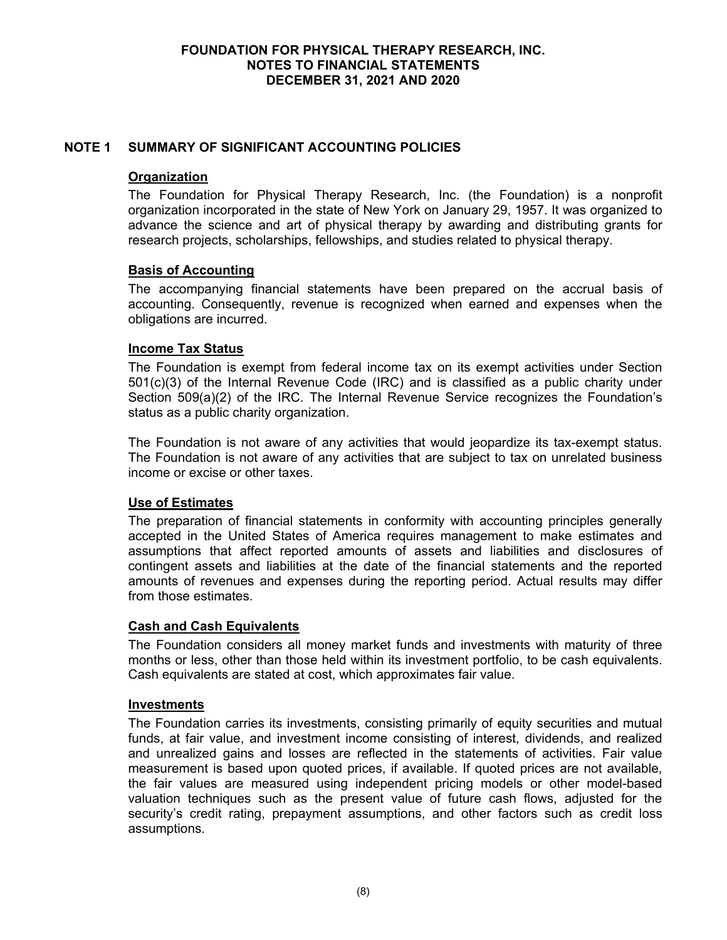## **NOTE 1 SUMMARY OF SIGNIFICANT ACCOUNTING POLICIES**

#### **Organization**

The Foundation for Physical Therapy Research, Inc. (the Foundation) is a nonprofit organization incorporated in the state of New York on January 29, 1957. It was organized to advance the science and art of physical therapy by awarding and distributing grants for research projects, scholarships, fellowships, and studies related to physical therapy.

#### **Basis of Accounting**

The accompanying financial statements have been prepared on the accrual basis of accounting. Consequently, revenue is recognized when earned and expenses when the obligations are incurred.

#### **Income Tax Status**

The Foundation is exempt from federal income tax on its exempt activities under Section 501(c)(3) of the Internal Revenue Code (IRC) and is classified as a public charity under Section 509(a)(2) of the IRC. The Internal Revenue Service recognizes the Foundation's status as a public charity organization.

The Foundation is not aware of any activities that would jeopardize its tax-exempt status. The Foundation is not aware of any activities that are subject to tax on unrelated business income or excise or other taxes.

# **Use of Estimates**

The preparation of financial statements in conformity with accounting principles generally accepted in the United States of America requires management to make estimates and assumptions that affect reported amounts of assets and liabilities and disclosures of contingent assets and liabilities at the date of the financial statements and the reported amounts of revenues and expenses during the reporting period. Actual results may differ from those estimates.

#### **Cash and Cash Equivalents**

The Foundation considers all money market funds and investments with maturity of three months or less, other than those held within its investment portfolio, to be cash equivalents. Cash equivalents are stated at cost, which approximates fair value.

#### **Investments**

The Foundation carries its investments, consisting primarily of equity securities and mutual funds, at fair value, and investment income consisting of interest, dividends, and realized and unrealized gains and losses are reflected in the statements of activities. Fair value measurement is based upon quoted prices, if available. If quoted prices are not available, the fair values are measured using independent pricing models or other model-based valuation techniques such as the present value of future cash flows, adjusted for the security's credit rating, prepayment assumptions, and other factors such as credit loss assumptions.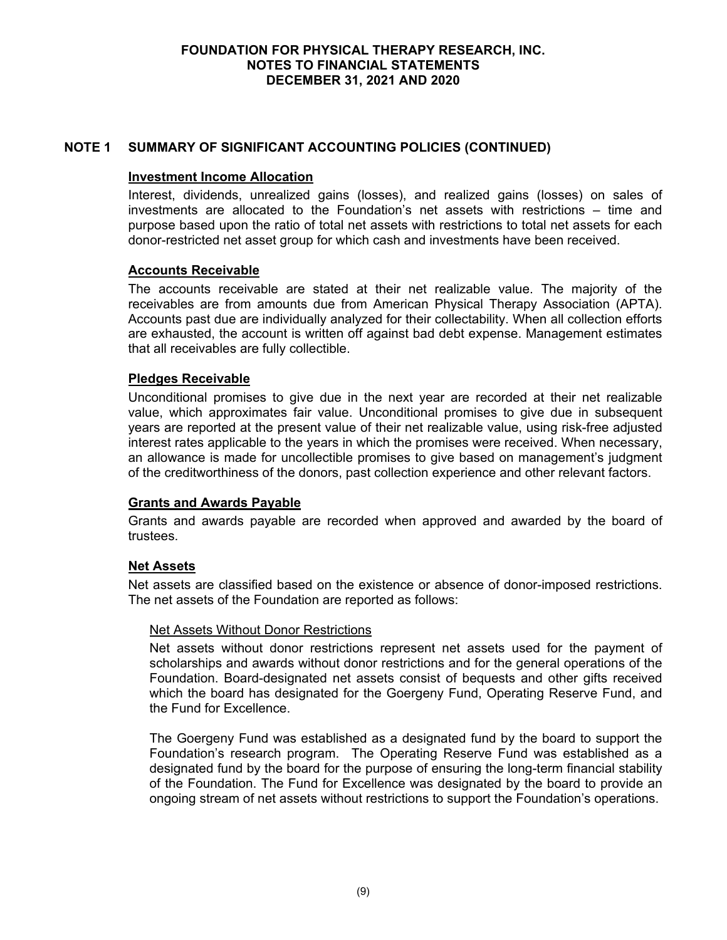## **NOTE 1 SUMMARY OF SIGNIFICANT ACCOUNTING POLICIES (CONTINUED)**

#### **Investment Income Allocation**

Interest, dividends, unrealized gains (losses), and realized gains (losses) on sales of investments are allocated to the Foundation's net assets with restrictions – time and purpose based upon the ratio of total net assets with restrictions to total net assets for each donor-restricted net asset group for which cash and investments have been received.

#### **Accounts Receivable**

The accounts receivable are stated at their net realizable value. The majority of the receivables are from amounts due from American Physical Therapy Association (APTA). Accounts past due are individually analyzed for their collectability. When all collection efforts are exhausted, the account is written off against bad debt expense. Management estimates that all receivables are fully collectible.

#### **Pledges Receivable**

Unconditional promises to give due in the next year are recorded at their net realizable value, which approximates fair value. Unconditional promises to give due in subsequent years are reported at the present value of their net realizable value, using risk-free adjusted interest rates applicable to the years in which the promises were received. When necessary, an allowance is made for uncollectible promises to give based on management's judgment of the creditworthiness of the donors, past collection experience and other relevant factors.

# **Grants and Awards Payable**

Grants and awards payable are recorded when approved and awarded by the board of trustees.

#### **Net Assets**

Net assets are classified based on the existence or absence of donor-imposed restrictions. The net assets of the Foundation are reported as follows:

#### Net Assets Without Donor Restrictions

Net assets without donor restrictions represent net assets used for the payment of scholarships and awards without donor restrictions and for the general operations of the Foundation. Board-designated net assets consist of bequests and other gifts received which the board has designated for the Goergeny Fund, Operating Reserve Fund, and the Fund for Excellence.

The Goergeny Fund was established as a designated fund by the board to support the Foundation's research program. The Operating Reserve Fund was established as a designated fund by the board for the purpose of ensuring the long-term financial stability of the Foundation. The Fund for Excellence was designated by the board to provide an ongoing stream of net assets without restrictions to support the Foundation's operations.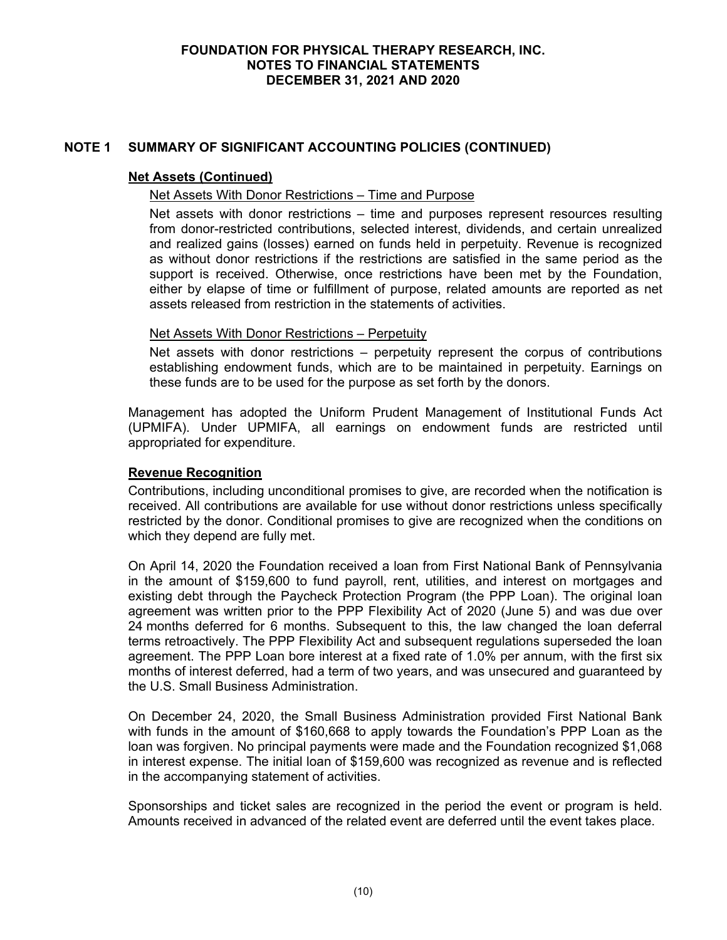# **NOTE 1 SUMMARY OF SIGNIFICANT ACCOUNTING POLICIES (CONTINUED)**

#### **Net Assets (Continued)**

# Net Assets With Donor Restrictions - Time and Purpose

Net assets with donor restrictions – time and purposes represent resources resulting from donor-restricted contributions, selected interest, dividends, and certain unrealized and realized gains (losses) earned on funds held in perpetuity. Revenue is recognized as without donor restrictions if the restrictions are satisfied in the same period as the support is received. Otherwise, once restrictions have been met by the Foundation, either by elapse of time or fulfillment of purpose, related amounts are reported as net assets released from restriction in the statements of activities.

### Net Assets With Donor Restrictions – Perpetuity

Net assets with donor restrictions – perpetuity represent the corpus of contributions establishing endowment funds, which are to be maintained in perpetuity. Earnings on these funds are to be used for the purpose as set forth by the donors.

Management has adopted the Uniform Prudent Management of Institutional Funds Act (UPMIFA). Under UPMIFA, all earnings on endowment funds are restricted until appropriated for expenditure.

## **Revenue Recognition**

Contributions, including unconditional promises to give, are recorded when the notification is received. All contributions are available for use without donor restrictions unless specifically restricted by the donor. Conditional promises to give are recognized when the conditions on which they depend are fully met.

On April 14, 2020 the Foundation received a loan from First National Bank of Pennsylvania in the amount of \$159,600 to fund payroll, rent, utilities, and interest on mortgages and existing debt through the Paycheck Protection Program (the PPP Loan). The original loan agreement was written prior to the PPP Flexibility Act of 2020 (June 5) and was due over 24 months deferred for 6 months. Subsequent to this, the law changed the loan deferral terms retroactively. The PPP Flexibility Act and subsequent regulations superseded the loan agreement. The PPP Loan bore interest at a fixed rate of 1.0% per annum, with the first six months of interest deferred, had a term of two years, and was unsecured and guaranteed by the U.S. Small Business Administration.

On December 24, 2020, the Small Business Administration provided First National Bank with funds in the amount of \$160,668 to apply towards the Foundation's PPP Loan as the loan was forgiven. No principal payments were made and the Foundation recognized \$1,068 in interest expense. The initial loan of \$159,600 was recognized as revenue and is reflected in the accompanying statement of activities.

Sponsorships and ticket sales are recognized in the period the event or program is held. Amounts received in advanced of the related event are deferred until the event takes place.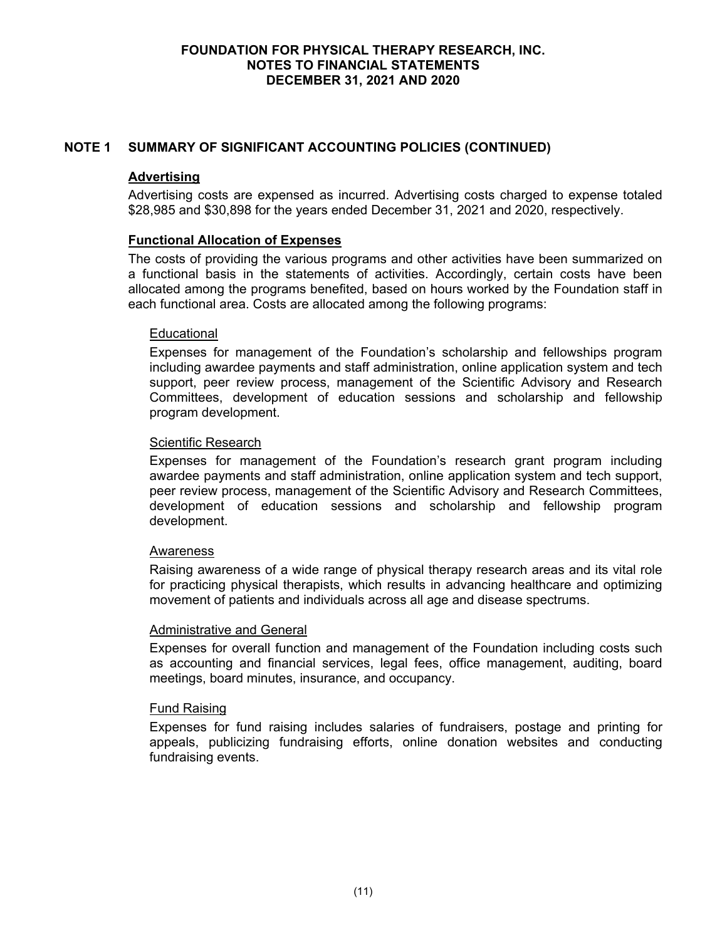### **NOTE 1 SUMMARY OF SIGNIFICANT ACCOUNTING POLICIES (CONTINUED)**

#### **Advertising**

Advertising costs are expensed as incurred. Advertising costs charged to expense totaled \$28,985 and \$30,898 for the years ended December 31, 2021 and 2020, respectively.

### **Functional Allocation of Expenses**

The costs of providing the various programs and other activities have been summarized on a functional basis in the statements of activities. Accordingly, certain costs have been allocated among the programs benefited, based on hours worked by the Foundation staff in each functional area. Costs are allocated among the following programs:

#### **Educational**

Expenses for management of the Foundation's scholarship and fellowships program including awardee payments and staff administration, online application system and tech support, peer review process, management of the Scientific Advisory and Research Committees, development of education sessions and scholarship and fellowship program development.

#### Scientific Research

Expenses for management of the Foundation's research grant program including awardee payments and staff administration, online application system and tech support, peer review process, management of the Scientific Advisory and Research Committees, development of education sessions and scholarship and fellowship program development.

#### Awareness

Raising awareness of a wide range of physical therapy research areas and its vital role for practicing physical therapists, which results in advancing healthcare and optimizing movement of patients and individuals across all age and disease spectrums.

#### Administrative and General

Expenses for overall function and management of the Foundation including costs such as accounting and financial services, legal fees, office management, auditing, board meetings, board minutes, insurance, and occupancy.

#### Fund Raising

Expenses for fund raising includes salaries of fundraisers, postage and printing for appeals, publicizing fundraising efforts, online donation websites and conducting fundraising events.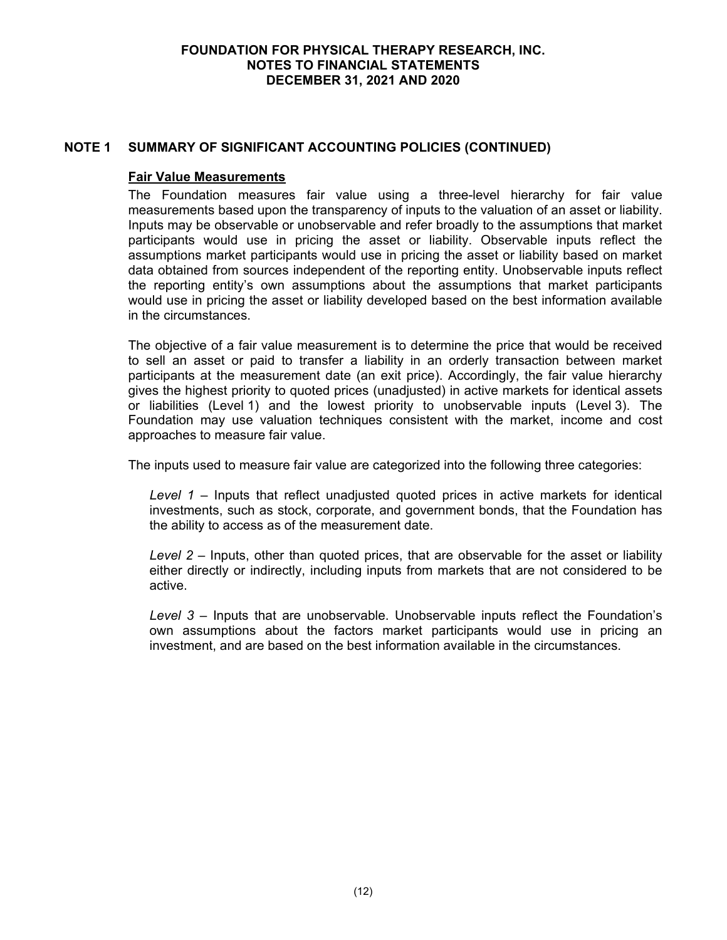### **NOTE 1 SUMMARY OF SIGNIFICANT ACCOUNTING POLICIES (CONTINUED)**

#### **Fair Value Measurements**

The Foundation measures fair value using a three-level hierarchy for fair value measurements based upon the transparency of inputs to the valuation of an asset or liability. Inputs may be observable or unobservable and refer broadly to the assumptions that market participants would use in pricing the asset or liability. Observable inputs reflect the assumptions market participants would use in pricing the asset or liability based on market data obtained from sources independent of the reporting entity. Unobservable inputs reflect the reporting entity's own assumptions about the assumptions that market participants would use in pricing the asset or liability developed based on the best information available in the circumstances.

The objective of a fair value measurement is to determine the price that would be received to sell an asset or paid to transfer a liability in an orderly transaction between market participants at the measurement date (an exit price). Accordingly, the fair value hierarchy gives the highest priority to quoted prices (unadjusted) in active markets for identical assets or liabilities (Level 1) and the lowest priority to unobservable inputs (Level 3). The Foundation may use valuation techniques consistent with the market, income and cost approaches to measure fair value.

The inputs used to measure fair value are categorized into the following three categories:

*Level 1 –* Inputs that reflect unadjusted quoted prices in active markets for identical investments, such as stock, corporate, and government bonds, that the Foundation has the ability to access as of the measurement date.

*Level 2 –* Inputs, other than quoted prices, that are observable for the asset or liability either directly or indirectly, including inputs from markets that are not considered to be active.

*Level 3 –* Inputs that are unobservable. Unobservable inputs reflect the Foundation's own assumptions about the factors market participants would use in pricing an investment, and are based on the best information available in the circumstances.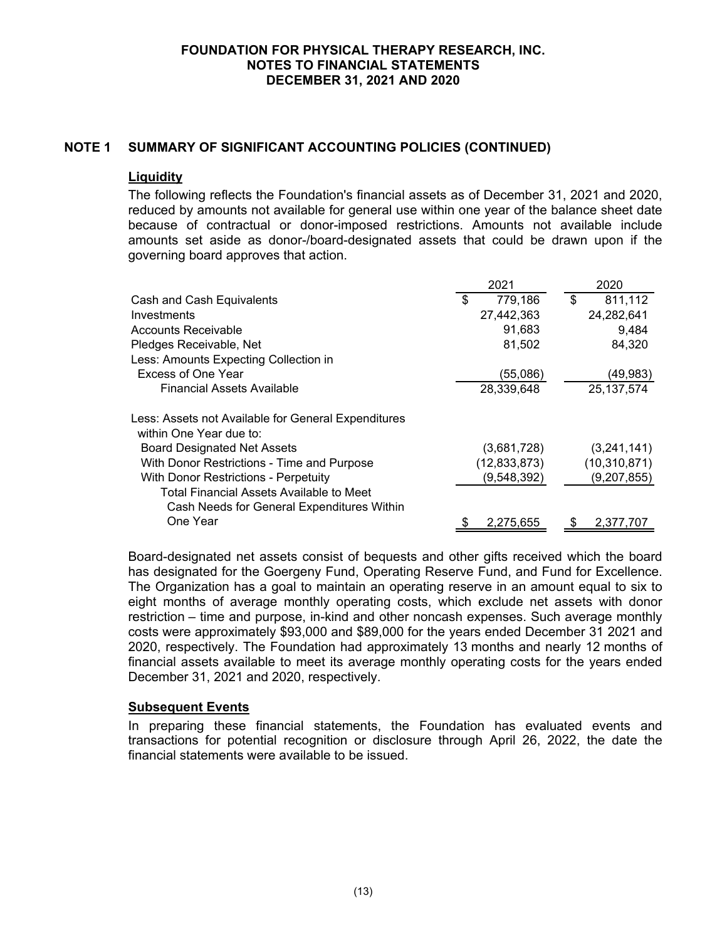# **NOTE 1 SUMMARY OF SIGNIFICANT ACCOUNTING POLICIES (CONTINUED)**

## **Liquidity**

The following reflects the Foundation's financial assets as of December 31, 2021 and 2020, reduced by amounts not available for general use within one year of the balance sheet date because of contractual or donor-imposed restrictions. Amounts not available include amounts set aside as donor-/board-designated assets that could be drawn upon if the governing board approves that action.

|                                                     | 2021           | 2020           |
|-----------------------------------------------------|----------------|----------------|
| Cash and Cash Equivalents                           | 779,186<br>S   | 811,112<br>\$  |
| Investments                                         | 27,442,363     | 24,282,641     |
| Accounts Receivable                                 | 91,683         | 9,484          |
| Pledges Receivable, Net                             | 81,502         | 84,320         |
| Less: Amounts Expecting Collection in               |                |                |
| Excess of One Year                                  | (55,086)       | (49,983)       |
| Financial Assets Available                          | 28,339,648     | 25, 137, 574   |
| Less: Assets not Available for General Expenditures |                |                |
| within One Year due to:                             |                |                |
| <b>Board Designated Net Assets</b>                  | (3,681,728)    | (3,241,141)    |
| With Donor Restrictions - Time and Purpose          | (12, 833, 873) | (10, 310, 871) |
| With Donor Restrictions - Perpetuity                | (9, 548, 392)  | (9,207,855)    |
| Total Financial Assets Available to Meet            |                |                |
| Cash Needs for General Expenditures Within          |                |                |
| One Year                                            | 2,275,655      | 2,377,707      |

Board-designated net assets consist of bequests and other gifts received which the board has designated for the Goergeny Fund, Operating Reserve Fund, and Fund for Excellence. The Organization has a goal to maintain an operating reserve in an amount equal to six to eight months of average monthly operating costs, which exclude net assets with donor restriction – time and purpose, in-kind and other noncash expenses. Such average monthly costs were approximately \$93,000 and \$89,000 for the years ended December 31 2021 and 2020, respectively. The Foundation had approximately 13 months and nearly 12 months of financial assets available to meet its average monthly operating costs for the years ended December 31, 2021 and 2020, respectively.

#### **Subsequent Events**

In preparing these financial statements, the Foundation has evaluated events and transactions for potential recognition or disclosure through April 26, 2022, the date the financial statements were available to be issued.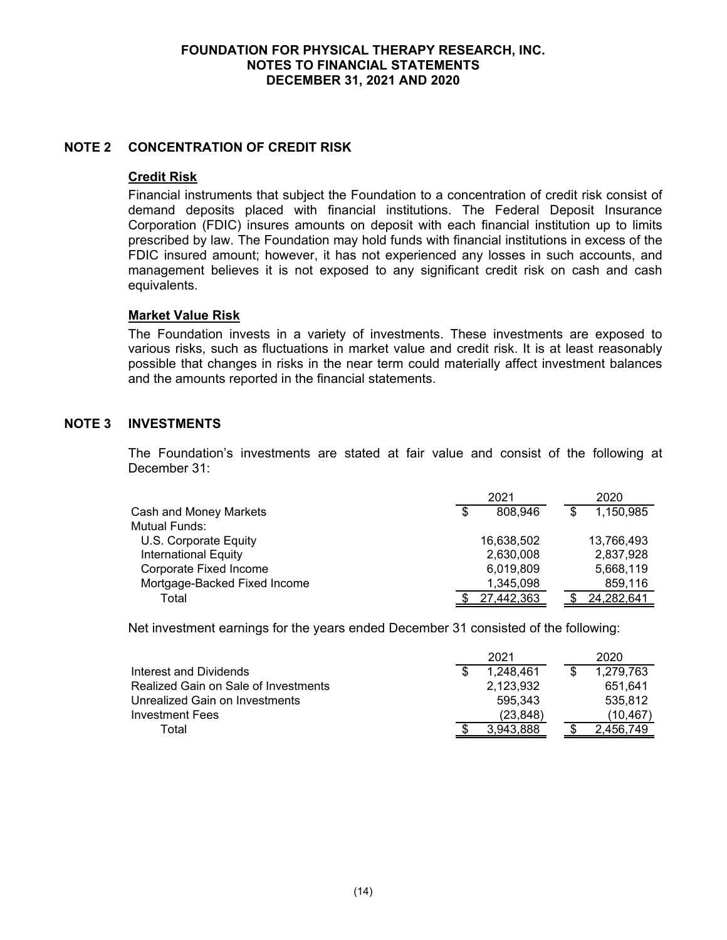## **NOTE 2 CONCENTRATION OF CREDIT RISK**

#### **Credit Risk**

Financial instruments that subject the Foundation to a concentration of credit risk consist of demand deposits placed with financial institutions. The Federal Deposit Insurance Corporation (FDIC) insures amounts on deposit with each financial institution up to limits prescribed by law. The Foundation may hold funds with financial institutions in excess of the FDIC insured amount; however, it has not experienced any losses in such accounts, and management believes it is not exposed to any significant credit risk on cash and cash equivalents.

#### **Market Value Risk**

The Foundation invests in a variety of investments. These investments are exposed to various risks, such as fluctuations in market value and credit risk. It is at least reasonably possible that changes in risks in the near term could materially affect investment balances and the amounts reported in the financial statements.

#### **NOTE 3 INVESTMENTS**

The Foundation's investments are stated at fair value and consist of the following at December 31:

|                               | 2021          | 2020       |
|-------------------------------|---------------|------------|
| Cash and Money Markets        | \$<br>808,946 | 1,150,985  |
| Mutual Funds:                 |               |            |
| U.S. Corporate Equity         | 16,638,502    | 13,766,493 |
| <b>International Equity</b>   | 2,630,008     | 2,837,928  |
| <b>Corporate Fixed Income</b> | 6,019,809     | 5,668,119  |
| Mortgage-Backed Fixed Income  | 1,345,098     | 859,116    |
| Total                         | 27,442,363    | 24,282,641 |

Net investment earnings for the years ended December 31 consisted of the following:

|                                      | 2021      |  | 2020      |
|--------------------------------------|-----------|--|-----------|
| Interest and Dividends               | 1,248,461 |  | 1,279,763 |
| Realized Gain on Sale of Investments | 2,123,932 |  | 651.641   |
| Unrealized Gain on Investments       | 595.343   |  | 535.812   |
| Investment Fees                      | (23.848)  |  | (10,467)  |
| Total                                | 3.943.888 |  | 2.456.749 |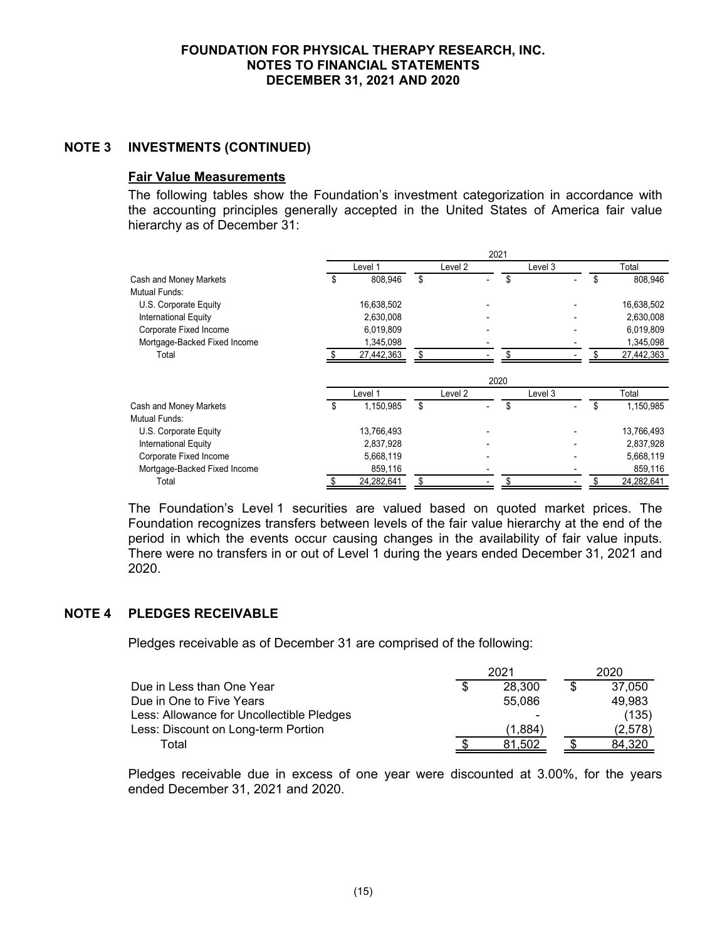#### **NOTE 3 INVESTMENTS (CONTINUED)**

#### **Fair Value Measurements**

The following tables show the Foundation's investment categorization in accordance with the accounting principles generally accepted in the United States of America fair value hierarchy as of December 31:

|                              |   |            |         | 2021 |         |                  |
|------------------------------|---|------------|---------|------|---------|------------------|
|                              |   | Level 1    | Level 2 |      | Level 3 | Total            |
| Cash and Money Markets       | S | 808,946    | \$      | \$   |         | \$<br>808,946    |
| Mutual Funds:                |   |            |         |      |         |                  |
| U.S. Corporate Equity        |   | 16,638,502 |         |      |         | 16,638,502       |
| International Equity         |   | 2,630,008  |         |      |         | 2,630,008        |
| Corporate Fixed Income       |   | 6,019,809  |         |      |         | 6,019,809        |
| Mortgage-Backed Fixed Income |   | 1,345,098  |         |      |         | 1,345,098        |
| Total                        |   | 27,442,363 | \$      |      |         | 27,442,363       |
|                              |   |            |         | 2020 |         |                  |
|                              |   | Level 1    | Level 2 |      | Level 3 | Total            |
| Cash and Money Markets       | S | 1,150,985  | \$      | \$   |         | \$<br>1,150,985  |
| <b>Mutual Funds:</b>         |   |            |         |      |         |                  |
| U.S. Corporate Equity        |   | 13,766,493 |         |      |         | 13,766,493       |
| International Equity         |   | 2,837,928  |         |      |         | 2,837,928        |
| Corporate Fixed Income       |   | 5,668,119  |         |      |         | 5,668,119        |
| Mortgage-Backed Fixed Income |   | 859,116    |         |      |         | 859,116          |
| Total                        |   | 24,282,641 | \$      | \$   |         | \$<br>24,282,641 |

The Foundation's Level 1 securities are valued based on quoted market prices. The Foundation recognizes transfers between levels of the fair value hierarchy at the end of the period in which the events occur causing changes in the availability of fair value inputs. There were no transfers in or out of Level 1 during the years ended December 31, 2021 and 2020.

# **NOTE 4 PLEDGES RECEIVABLE**

Pledges receivable as of December 31 are comprised of the following:

|                                           | 2021    | 2020    |
|-------------------------------------------|---------|---------|
| Due in Less than One Year                 | 28,300  | 37,050  |
| Due in One to Five Years                  | 55.086  | 49,983  |
| Less: Allowance for Uncollectible Pledges |         | (135)   |
| Less: Discount on Long-term Portion       | (1.884) | (2,578) |
| Total                                     | 81.502  | 84.320  |

Pledges receivable due in excess of one year were discounted at 3.00%, for the years ended December 31, 2021 and 2020.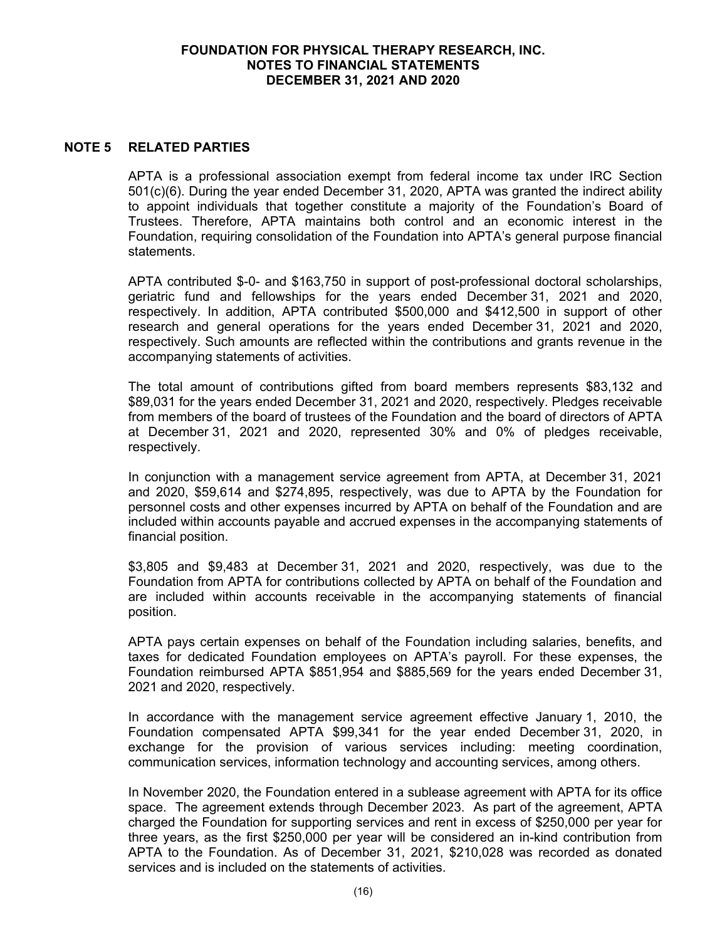#### **NOTE 5 RELATED PARTIES**

APTA is a professional association exempt from federal income tax under IRC Section 501(c)(6). During the year ended December 31, 2020, APTA was granted the indirect ability to appoint individuals that together constitute a majority of the Foundation's Board of Trustees. Therefore, APTA maintains both control and an economic interest in the Foundation, requiring consolidation of the Foundation into APTA's general purpose financial statements.

APTA contributed \$-0- and \$163,750 in support of post-professional doctoral scholarships, geriatric fund and fellowships for the years ended December 31, 2021 and 2020, respectively. In addition, APTA contributed \$500,000 and \$412,500 in support of other research and general operations for the years ended December 31, 2021 and 2020, respectively. Such amounts are reflected within the contributions and grants revenue in the accompanying statements of activities.

The total amount of contributions gifted from board members represents \$83,132 and \$89,031 for the years ended December 31, 2021 and 2020, respectively. Pledges receivable from members of the board of trustees of the Foundation and the board of directors of APTA at December 31, 2021 and 2020, represented 30% and 0% of pledges receivable, respectively.

In conjunction with a management service agreement from APTA, at December 31, 2021 and 2020, \$59,614 and \$274,895, respectively, was due to APTA by the Foundation for personnel costs and other expenses incurred by APTA on behalf of the Foundation and are included within accounts payable and accrued expenses in the accompanying statements of financial position.

\$3,805 and \$9,483 at December 31, 2021 and 2020, respectively, was due to the Foundation from APTA for contributions collected by APTA on behalf of the Foundation and are included within accounts receivable in the accompanying statements of financial position.

APTA pays certain expenses on behalf of the Foundation including salaries, benefits, and taxes for dedicated Foundation employees on APTA's payroll. For these expenses, the Foundation reimbursed APTA \$851,954 and \$885,569 for the years ended December 31, 2021 and 2020, respectively.

In accordance with the management service agreement effective January 1, 2010, the Foundation compensated APTA \$99,341 for the year ended December 31, 2020, in exchange for the provision of various services including: meeting coordination, communication services, information technology and accounting services, among others.

In November 2020, the Foundation entered in a sublease agreement with APTA for its office space. The agreement extends through December 2023. As part of the agreement, APTA charged the Foundation for supporting services and rent in excess of \$250,000 per year for three years, as the first \$250,000 per year will be considered an in-kind contribution from APTA to the Foundation. As of December 31, 2021, \$210,028 was recorded as donated services and is included on the statements of activities.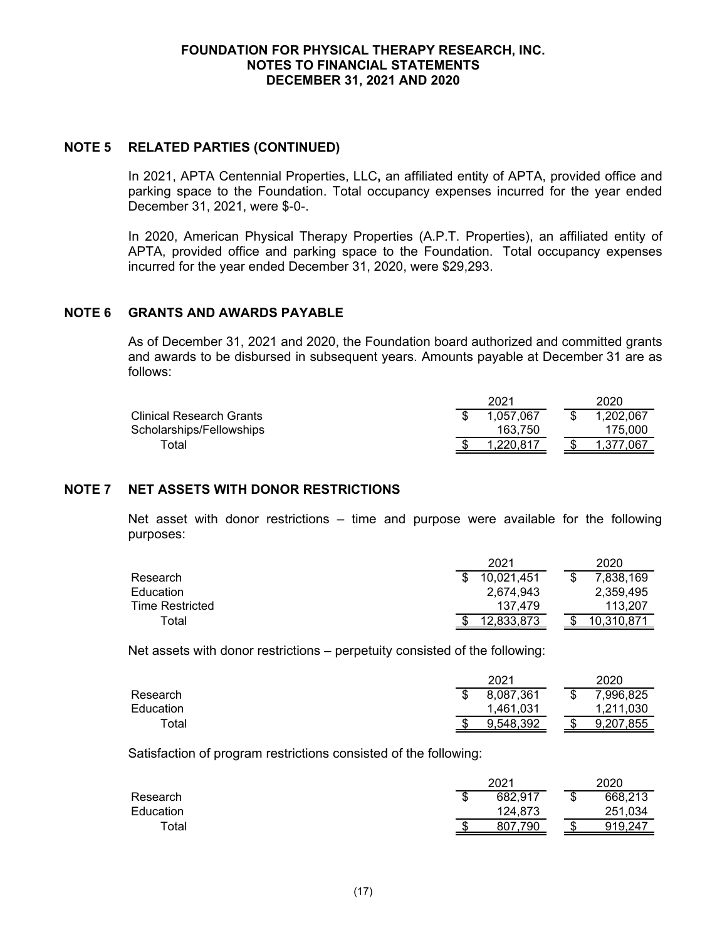#### **NOTE 5 RELATED PARTIES (CONTINUED)**

In 2021, APTA Centennial Properties, LLC**,** an affiliated entity of APTA, provided office and parking space to the Foundation. Total occupancy expenses incurred for the year ended December 31, 2021, were \$-0-.

In 2020, American Physical Therapy Properties (A.P.T. Properties), an affiliated entity of APTA, provided office and parking space to the Foundation. Total occupancy expenses incurred for the year ended December 31, 2020, were \$29,293.

#### **NOTE 6 GRANTS AND AWARDS PAYABLE**

As of December 31, 2021 and 2020, the Foundation board authorized and committed grants and awards to be disbursed in subsequent years. Amounts payable at December 31 are as follows:

|                                 | 2021      |  | 2020      |
|---------------------------------|-----------|--|-----------|
| <b>Clinical Research Grants</b> | 1.057.067 |  | 1.202.067 |
| Scholarships/Fellowships        | 163.750   |  | 175.000   |
| Total                           | .220.817  |  | 1.377.067 |

#### **NOTE 7 NET ASSETS WITH DONOR RESTRICTIONS**

Net asset with donor restrictions – time and purpose were available for the following purposes:

|                  | 2021       | 2020       |
|------------------|------------|------------|
| Research         | 10,021,451 | 7,838,169  |
| <b>Education</b> | 2,674,943  | 2,359,495  |
| Time Restricted  | 137.479    | 113.207    |
| Total            | 12.833.873 | 10.310.871 |

Net assets with donor restrictions – perpetuity consisted of the following:

|           | 2021      | 2020      |
|-----------|-----------|-----------|
| Research  | 8,087,361 | 7,996,825 |
| Education | 1.461.031 | 1,211,030 |
| Total     | 9.548.392 | 9.207.855 |

Satisfaction of program restrictions consisted of the following:

|             | 2021 |            |        | 2020    |  |  |
|-------------|------|------------|--------|---------|--|--|
| Research    |      | 682,917    | ጦ<br>J | 668,213 |  |  |
| Education   |      | 124,873    |        | 251,034 |  |  |
| $\tau$ otal | ĸIJ  | 790<br>807 | ۰D     | 919.247 |  |  |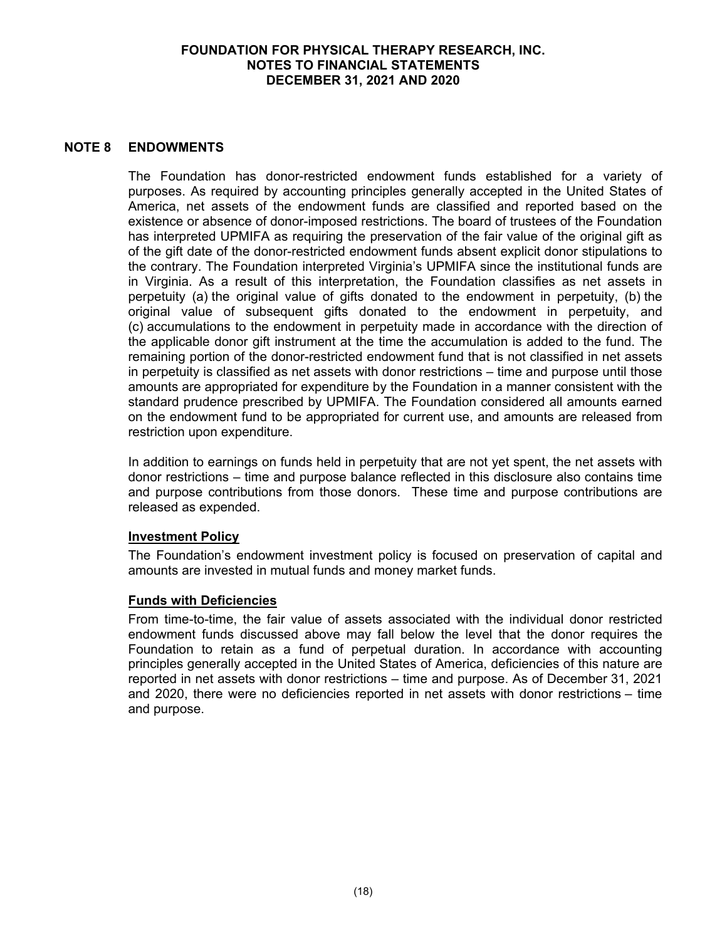#### **NOTE 8 ENDOWMENTS**

The Foundation has donor-restricted endowment funds established for a variety of purposes. As required by accounting principles generally accepted in the United States of America, net assets of the endowment funds are classified and reported based on the existence or absence of donor-imposed restrictions. The board of trustees of the Foundation has interpreted UPMIFA as requiring the preservation of the fair value of the original gift as of the gift date of the donor-restricted endowment funds absent explicit donor stipulations to the contrary. The Foundation interpreted Virginia's UPMIFA since the institutional funds are in Virginia. As a result of this interpretation, the Foundation classifies as net assets in perpetuity (a) the original value of gifts donated to the endowment in perpetuity, (b) the original value of subsequent gifts donated to the endowment in perpetuity, and (c) accumulations to the endowment in perpetuity made in accordance with the direction of the applicable donor gift instrument at the time the accumulation is added to the fund. The remaining portion of the donor-restricted endowment fund that is not classified in net assets in perpetuity is classified as net assets with donor restrictions – time and purpose until those amounts are appropriated for expenditure by the Foundation in a manner consistent with the standard prudence prescribed by UPMIFA. The Foundation considered all amounts earned on the endowment fund to be appropriated for current use, and amounts are released from restriction upon expenditure.

In addition to earnings on funds held in perpetuity that are not yet spent, the net assets with donor restrictions – time and purpose balance reflected in this disclosure also contains time and purpose contributions from those donors. These time and purpose contributions are released as expended.

# **Investment Policy**

The Foundation's endowment investment policy is focused on preservation of capital and amounts are invested in mutual funds and money market funds.

# **Funds with Deficiencies**

From time-to-time, the fair value of assets associated with the individual donor restricted endowment funds discussed above may fall below the level that the donor requires the Foundation to retain as a fund of perpetual duration. In accordance with accounting principles generally accepted in the United States of America, deficiencies of this nature are reported in net assets with donor restrictions – time and purpose. As of December 31, 2021 and 2020, there were no deficiencies reported in net assets with donor restrictions – time and purpose.